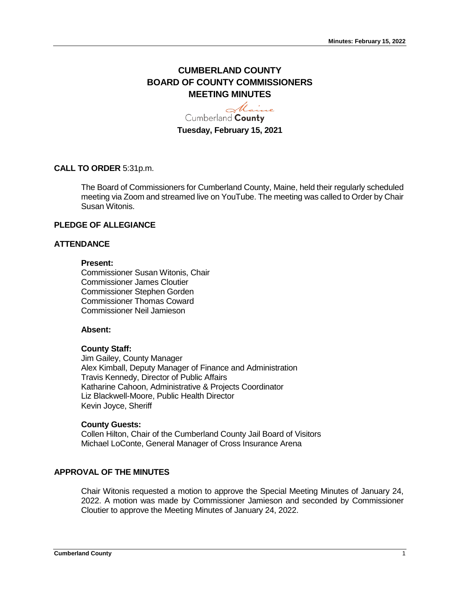# **CUMBERLAND COUNTY BOARD OF COUNTY COMMISSIONERS MEETING MINUTES**

Maine Cumberland County **Tuesday, February 15, 2021**

# **CALL TO ORDER** 5:31p.m.

The Board of Commissioners for Cumberland County, Maine, held their regularly scheduled meeting via Zoom and streamed live on YouTube. The meeting was called to Order by Chair Susan Witonis.

#### **PLEDGE OF ALLEGIANCE**

# **ATTENDANCE**

#### **Present:**

Commissioner Susan Witonis, Chair Commissioner James Cloutier Commissioner Stephen Gorden Commissioner Thomas Coward Commissioner Neil Jamieson

#### **Absent:**

#### **County Staff:**

Jim Gailey, County Manager Alex Kimball, Deputy Manager of Finance and Administration Travis Kennedy, Director of Public Affairs Katharine Cahoon, Administrative & Projects Coordinator Liz Blackwell-Moore, Public Health Director Kevin Joyce, Sheriff

#### **County Guests:**

Collen Hilton, Chair of the Cumberland County Jail Board of Visitors Michael LoConte, General Manager of Cross Insurance Arena

# **APPROVAL OF THE MINUTES**

Chair Witonis requested a motion to approve the Special Meeting Minutes of January 24, 2022. A motion was made by Commissioner Jamieson and seconded by Commissioner Cloutier to approve the Meeting Minutes of January 24, 2022.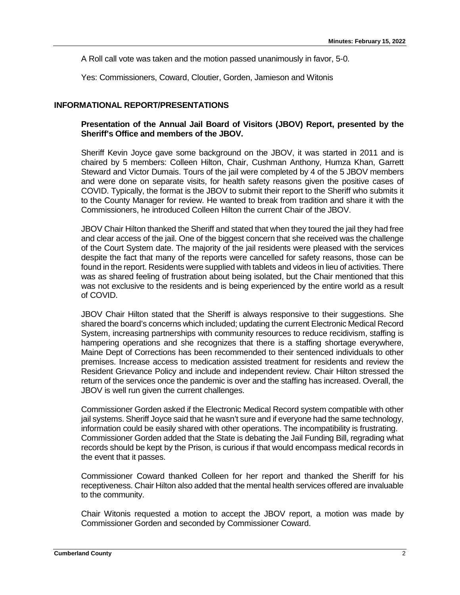A Roll call vote was taken and the motion passed unanimously in favor, 5-0.

Yes: Commissioners, Coward, Cloutier, Gorden, Jamieson and Witonis

# **INFORMATIONAL REPORT/PRESENTATIONS**

### **Presentation of the Annual Jail Board of Visitors (JBOV) Report, presented by the Sheriff's Office and members of the JBOV.**

Sheriff Kevin Joyce gave some background on the JBOV, it was started in 2011 and is chaired by 5 members: Colleen Hilton, Chair, Cushman Anthony, Humza Khan, Garrett Steward and Victor Dumais. Tours of the jail were completed by 4 of the 5 JBOV members and were done on separate visits, for health safety reasons given the positive cases of COVID. Typically, the format is the JBOV to submit their report to the Sheriff who submits it to the County Manager for review. He wanted to break from tradition and share it with the Commissioners, he introduced Colleen Hilton the current Chair of the JBOV.

JBOV Chair Hilton thanked the Sheriff and stated that when they toured the jail they had free and clear access of the jail. One of the biggest concern that she received was the challenge of the Court System date. The majority of the jail residents were pleased with the services despite the fact that many of the reports were cancelled for safety reasons, those can be found in the report. Residents were supplied with tablets and videos in lieu of activities. There was as shared feeling of frustration about being isolated, but the Chair mentioned that this was not exclusive to the residents and is being experienced by the entire world as a result of COVID.

JBOV Chair Hilton stated that the Sheriff is always responsive to their suggestions. She shared the board's concerns which included; updating the current Electronic Medical Record System, increasing partnerships with community resources to reduce recidivism, staffing is hampering operations and she recognizes that there is a staffing shortage everywhere, Maine Dept of Corrections has been recommended to their sentenced individuals to other premises. Increase access to medication assisted treatment for residents and review the Resident Grievance Policy and include and independent review. Chair Hilton stressed the return of the services once the pandemic is over and the staffing has increased. Overall, the JBOV is well run given the current challenges.

Commissioner Gorden asked if the Electronic Medical Record system compatible with other jail systems. Sheriff Joyce said that he wasn't sure and if everyone had the same technology, information could be easily shared with other operations. The incompatibility is frustrating. Commissioner Gorden added that the State is debating the Jail Funding Bill, regrading what records should be kept by the Prison, is curious if that would encompass medical records in the event that it passes.

Commissioner Coward thanked Colleen for her report and thanked the Sheriff for his receptiveness. Chair Hilton also added that the mental health services offered are invaluable to the community.

Chair Witonis requested a motion to accept the JBOV report, a motion was made by Commissioner Gorden and seconded by Commissioner Coward.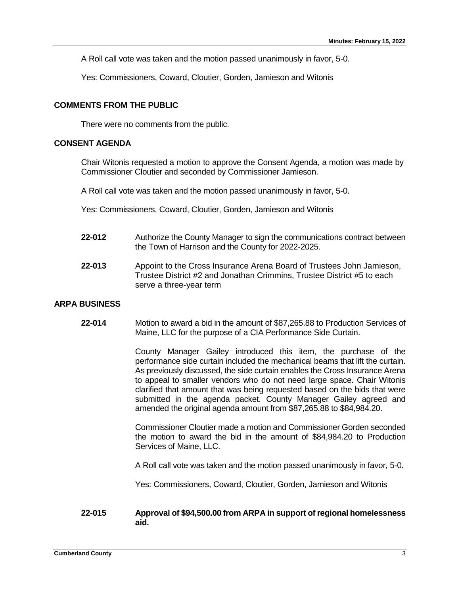A Roll call vote was taken and the motion passed unanimously in favor, 5-0.

Yes: Commissioners, Coward, Cloutier, Gorden, Jamieson and Witonis

# **COMMENTS FROM THE PUBLIC**

There were no comments from the public.

# **CONSENT AGENDA**

Chair Witonis requested a motion to approve the Consent Agenda, a motion was made by Commissioner Cloutier and seconded by Commissioner Jamieson.

A Roll call vote was taken and the motion passed unanimously in favor, 5-0.

Yes: Commissioners, Coward, Cloutier, Gorden, Jamieson and Witonis

- **22-012** Authorize the County Manager to sign the communications contract between the Town of Harrison and the County for 2022-2025.
- **22-013** Appoint to the Cross Insurance Arena Board of Trustees John Jamieson, Trustee District #2 and Jonathan Crimmins, Trustee District #5 to each serve a three-year term

# **ARPA BUSINESS**

**22-014** Motion to award a bid in the amount of \$87,265.88 to Production Services of Maine, LLC for the purpose of a CIA Performance Side Curtain.

> County Manager Gailey introduced this item, the purchase of the performance side curtain included the mechanical beams that lift the curtain. As previously discussed, the side curtain enables the Cross Insurance Arena to appeal to smaller vendors who do not need large space. Chair Witonis clarified that amount that was being requested based on the bids that were submitted in the agenda packet. County Manager Gailey agreed and amended the original agenda amount from \$87,265.88 to \$84,984.20.

> Commissioner Cloutier made a motion and Commissioner Gorden seconded the motion to award the bid in the amount of \$84,984.20 to Production Services of Maine, LLC.

> A Roll call vote was taken and the motion passed unanimously in favor, 5-0.

Yes: Commissioners, Coward, Cloutier, Gorden, Jamieson and Witonis

# **22-015 Approval of \$94,500.00 from ARPA in support of regional homelessness aid.**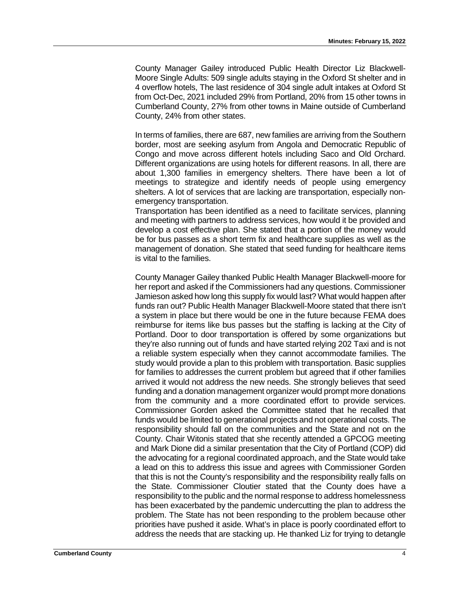County Manager Gailey introduced Public Health Director Liz Blackwell-Moore Single Adults: 509 single adults staying in the Oxford St shelter and in 4 overflow hotels, The last residence of 304 single adult intakes at Oxford St from Oct-Dec, 2021 included 29% from Portland, 20% from 15 other towns in Cumberland County, 27% from other towns in Maine outside of Cumberland County, 24% from other states.

In terms of families, there are 687, new families are arriving from the Southern border, most are seeking asylum from Angola and Democratic Republic of Congo and move across different hotels including Saco and Old Orchard. Different organizations are using hotels for different reasons. In all, there are about 1,300 families in emergency shelters. There have been a lot of meetings to strategize and identify needs of people using emergency shelters. A lot of services that are lacking are transportation, especially nonemergency transportation.

Transportation has been identified as a need to facilitate services, planning and meeting with partners to address services, how would it be provided and develop a cost effective plan. She stated that a portion of the money would be for bus passes as a short term fix and healthcare supplies as well as the management of donation. She stated that seed funding for healthcare items is vital to the families.

County Manager Gailey thanked Public Health Manager Blackwell-moore for her report and asked if the Commissioners had any questions. Commissioner Jamieson asked how long this supply fix would last? What would happen after funds ran out? Public Health Manager Blackwell-Moore stated that there isn't a system in place but there would be one in the future because FEMA does reimburse for items like bus passes but the staffing is lacking at the City of Portland. Door to door transportation is offered by some organizations but they're also running out of funds and have started relying 202 Taxi and is not a reliable system especially when they cannot accommodate families. The study would provide a plan to this problem with transportation. Basic supplies for families to addresses the current problem but agreed that if other families arrived it would not address the new needs. She strongly believes that seed funding and a donation management organizer would prompt more donations from the community and a more coordinated effort to provide services. Commissioner Gorden asked the Committee stated that he recalled that funds would be limited to generational projects and not operational costs. The responsibility should fall on the communities and the State and not on the County. Chair Witonis stated that she recently attended a GPCOG meeting and Mark Dione did a similar presentation that the City of Portland (COP) did the advocating for a regional coordinated approach, and the State would take a lead on this to address this issue and agrees with Commissioner Gorden that this is not the County's responsibility and the responsibility really falls on the State. Commissioner Cloutier stated that the County does have a responsibility to the public and the normal response to address homelessness has been exacerbated by the pandemic undercutting the plan to address the problem. The State has not been responding to the problem because other priorities have pushed it aside. What's in place is poorly coordinated effort to address the needs that are stacking up. He thanked Liz for trying to detangle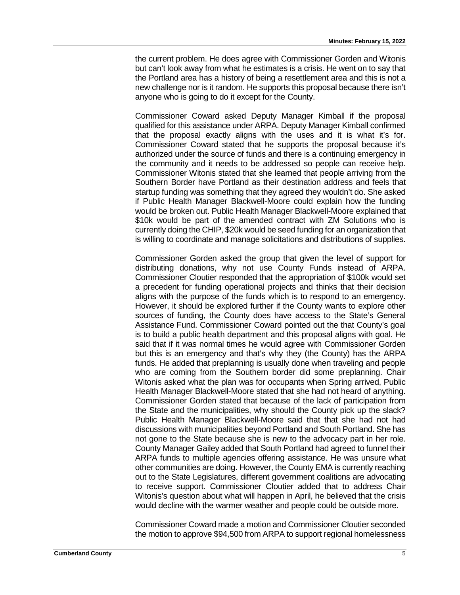the current problem. He does agree with Commissioner Gorden and Witonis but can't look away from what he estimates is a crisis. He went on to say that the Portland area has a history of being a resettlement area and this is not a new challenge nor is it random. He supports this proposal because there isn't anyone who is going to do it except for the County.

Commissioner Coward asked Deputy Manager Kimball if the proposal qualified for this assistance under ARPA. Deputy Manager Kimball confirmed that the proposal exactly aligns with the uses and it is what it's for. Commissioner Coward stated that he supports the proposal because it's authorized under the source of funds and there is a continuing emergency in the community and it needs to be addressed so people can receive help. Commissioner Witonis stated that she learned that people arriving from the Southern Border have Portland as their destination address and feels that startup funding was something that they agreed they wouldn't do. She asked if Public Health Manager Blackwell-Moore could explain how the funding would be broken out. Public Health Manager Blackwell-Moore explained that \$10k would be part of the amended contract with ZM Solutions who is currently doing the CHIP, \$20k would be seed funding for an organization that is willing to coordinate and manage solicitations and distributions of supplies.

Commissioner Gorden asked the group that given the level of support for distributing donations, why not use County Funds instead of ARPA. Commissioner Cloutier responded that the appropriation of \$100k would set a precedent for funding operational projects and thinks that their decision aligns with the purpose of the funds which is to respond to an emergency. However, it should be explored further if the County wants to explore other sources of funding, the County does have access to the State's General Assistance Fund. Commissioner Coward pointed out the that County's goal is to build a public health department and this proposal aligns with goal. He said that if it was normal times he would agree with Commissioner Gorden but this is an emergency and that's why they (the County) has the ARPA funds. He added that preplanning is usually done when traveling and people who are coming from the Southern border did some preplanning. Chair Witonis asked what the plan was for occupants when Spring arrived, Public Health Manager Blackwell-Moore stated that she had not heard of anything. Commissioner Gorden stated that because of the lack of participation from the State and the municipalities, why should the County pick up the slack? Public Health Manager Blackwell-Moore said that that she had not had discussions with municipalities beyond Portland and South Portland. She has not gone to the State because she is new to the advocacy part in her role. County Manager Gailey added that South Portland had agreed to funnel their ARPA funds to multiple agencies offering assistance. He was unsure what other communities are doing. However, the County EMA is currently reaching out to the State Legislatures, different government coalitions are advocating to receive support. Commissioner Cloutier added that to address Chair Witonis's question about what will happen in April, he believed that the crisis would decline with the warmer weather and people could be outside more.

Commissioner Coward made a motion and Commissioner Cloutier seconded the motion to approve \$94,500 from ARPA to support regional homelessness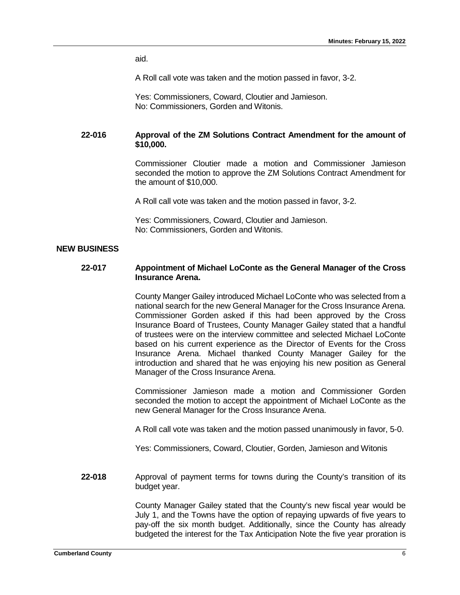aid.

A Roll call vote was taken and the motion passed in favor, 3-2.

Yes: Commissioners, Coward, Cloutier and Jamieson. No: Commissioners, Gorden and Witonis.

# **22-016 Approval of the ZM Solutions Contract Amendment for the amount of \$10,000.**

Commissioner Cloutier made a motion and Commissioner Jamieson seconded the motion to approve the ZM Solutions Contract Amendment for the amount of \$10,000.

A Roll call vote was taken and the motion passed in favor, 3-2.

Yes: Commissioners, Coward, Cloutier and Jamieson. No: Commissioners, Gorden and Witonis.

# **NEW BUSINESS**

#### **22-017 Appointment of Michael LoConte as the General Manager of the Cross Insurance Arena.**

County Manger Gailey introduced Michael LoConte who was selected from a national search for the new General Manager for the Cross Insurance Arena. Commissioner Gorden asked if this had been approved by the Cross Insurance Board of Trustees, County Manager Gailey stated that a handful of trustees were on the interview committee and selected Michael LoConte based on his current experience as the Director of Events for the Cross Insurance Arena. Michael thanked County Manager Gailey for the introduction and shared that he was enjoying his new position as General Manager of the Cross Insurance Arena.

Commissioner Jamieson made a motion and Commissioner Gorden seconded the motion to accept the appointment of Michael LoConte as the new General Manager for the Cross Insurance Arena.

A Roll call vote was taken and the motion passed unanimously in favor, 5-0.

Yes: Commissioners, Coward, Cloutier, Gorden, Jamieson and Witonis

**22-018** Approval of payment terms for towns during the County's transition of its budget year.

> County Manager Gailey stated that the County's new fiscal year would be July 1, and the Towns have the option of repaying upwards of five years to pay-off the six month budget. Additionally, since the County has already budgeted the interest for the Tax Anticipation Note the five year proration is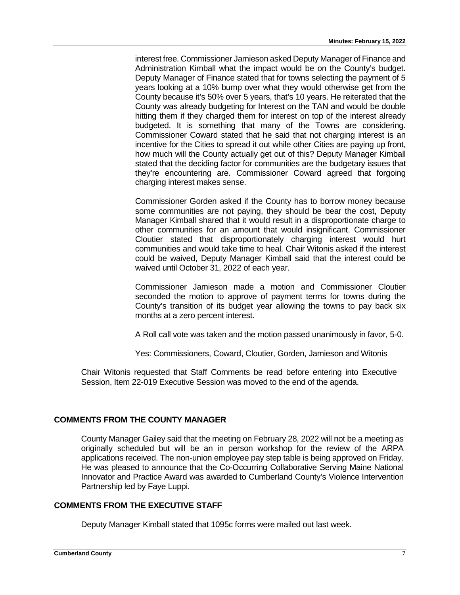interest free. Commissioner Jamieson asked Deputy Manager of Finance and Administration Kimball what the impact would be on the County's budget. Deputy Manager of Finance stated that for towns selecting the payment of 5 years looking at a 10% bump over what they would otherwise get from the County because it's 50% over 5 years, that's 10 years. He reiterated that the County was already budgeting for Interest on the TAN and would be double hitting them if they charged them for interest on top of the interest already budgeted. It is something that many of the Towns are considering. Commissioner Coward stated that he said that not charging interest is an incentive for the Cities to spread it out while other Cities are paying up front, how much will the County actually get out of this? Deputy Manager Kimball stated that the deciding factor for communities are the budgetary issues that they're encountering are. Commissioner Coward agreed that forgoing charging interest makes sense.

Commissioner Gorden asked if the County has to borrow money because some communities are not paying, they should be bear the cost, Deputy Manager Kimball shared that it would result in a disproportionate charge to other communities for an amount that would insignificant. Commissioner Cloutier stated that disproportionately charging interest would hurt communities and would take time to heal. Chair Witonis asked if the interest could be waived, Deputy Manager Kimball said that the interest could be waived until October 31, 2022 of each year.

Commissioner Jamieson made a motion and Commissioner Cloutier seconded the motion to approve of payment terms for towns during the County's transition of its budget year allowing the towns to pay back six months at a zero percent interest.

A Roll call vote was taken and the motion passed unanimously in favor, 5-0.

Yes: Commissioners, Coward, Cloutier, Gorden, Jamieson and Witonis

Chair Witonis requested that Staff Comments be read before entering into Executive Session, Item 22-019 Executive Session was moved to the end of the agenda.

# **COMMENTS FROM THE COUNTY MANAGER**

County Manager Gailey said that the meeting on February 28, 2022 will not be a meeting as originally scheduled but will be an in person workshop for the review of the ARPA applications received. The non-union employee pay step table is being approved on Friday. He was pleased to announce that the Co-Occurring Collaborative Serving Maine National Innovator and Practice Award was awarded to Cumberland County's Violence Intervention Partnership led by Faye Luppi.

# **COMMENTS FROM THE EXECUTIVE STAFF**

Deputy Manager Kimball stated that 1095c forms were mailed out last week.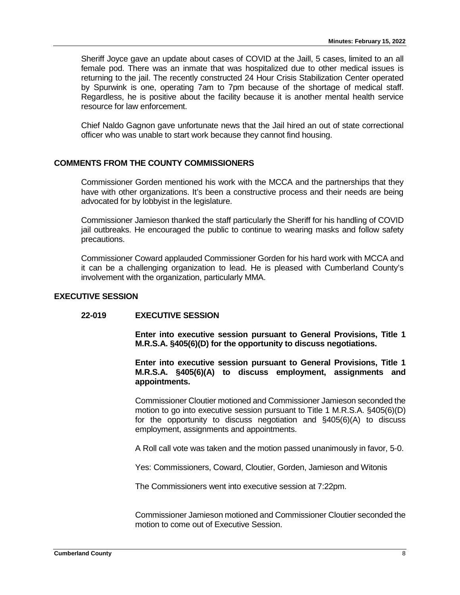Sheriff Joyce gave an update about cases of COVID at the Jaill, 5 cases, limited to an all female pod. There was an inmate that was hospitalized due to other medical issues is returning to the jail. The recently constructed 24 Hour Crisis Stabilization Center operated by Spurwink is one, operating 7am to 7pm because of the shortage of medical staff. Regardless, he is positive about the facility because it is another mental health service resource for law enforcement.

Chief Naldo Gagnon gave unfortunate news that the Jail hired an out of state correctional officer who was unable to start work because they cannot find housing.

# **COMMENTS FROM THE COUNTY COMMISSIONERS**

Commissioner Gorden mentioned his work with the MCCA and the partnerships that they have with other organizations. It's been a constructive process and their needs are being advocated for by lobbyist in the legislature.

Commissioner Jamieson thanked the staff particularly the Sheriff for his handling of COVID jail outbreaks. He encouraged the public to continue to wearing masks and follow safety precautions.

Commissioner Coward applauded Commissioner Gorden for his hard work with MCCA and it can be a challenging organization to lead. He is pleased with Cumberland County's involvement with the organization, particularly MMA.

# **EXECUTIVE SESSION**

# **22-019 EXECUTIVE SESSION**

**Enter into executive session pursuant to General Provisions, Title 1 M.R.S.A. §405(6)(D) for the opportunity to discuss negotiations.**

**Enter into executive session pursuant to General Provisions, Title 1 M.R.S.A. §405(6)(A) to discuss employment, assignments and appointments.**

Commissioner Cloutier motioned and Commissioner Jamieson seconded the motion to go into executive session pursuant to Title 1 M.R.S.A. §405(6)(D) for the opportunity to discuss negotiation and §405(6)(A) to discuss employment, assignments and appointments.

A Roll call vote was taken and the motion passed unanimously in favor, 5-0.

Yes: Commissioners, Coward, Cloutier, Gorden, Jamieson and Witonis

The Commissioners went into executive session at 7:22pm.

Commissioner Jamieson motioned and Commissioner Cloutier seconded the motion to come out of Executive Session.